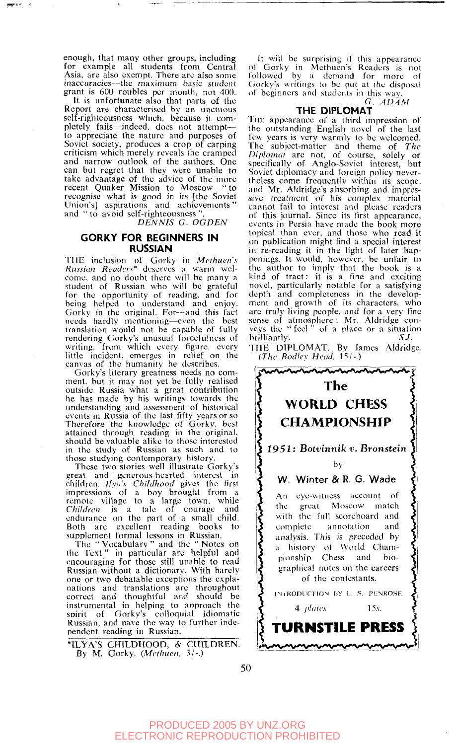enough, that many other groups, including for example all students from Central Asia, are also exempt. There are also some inaccuracies—the maximum basic student grant is 600 roubles per month, not 400.

It is unfortunate also that parts of the Report are characterised by an unctuous self-righteousness which, because it completely fails—indeed, does not attempt to appreciate the nature and purposes of Soviet society, produces a crop of carping<br>criticism which merely reveals the cramped and narrow outlook of the authors. One can but regret that they were unable to take advantage of the advice of the more recent Quaker Mission to Moscow—" to recognise what is good in its [the Soviet Union's] aspirations and achievements' and " to avoid self-righteousness "

*DENNIS G. OGDEN* 

# **GORKY FOR BEGINNERS IN RUSSIAN**

THE inclusion of Gorky in *Mcihucn's Russian Readers\** deserves a warm welcome, and no doubt there will be many a student of Russian who will be grateful for the opportunity of reading, and for being helped to understand and enjoy. Gorky in the original. For—and this fact needs hardly mentioning—even the best translation would not be capable of fully rendering Gorky's unusual forcefulness of writing, from which every figure, every tittle incident, emerges in relief on the canvas of the humanity he describes.

Gorky's literary greatness needs no com-ment, but it may not yet be fully realised outside Russia what a great contribution he has made by his writings towards the understanding and assessment of historical events in Russia of the last fifty years or so Therefore the knowledge of Gorky, best attained through reading in the original, should be valuable alike to those interested in the study of Russian as such and to those studying contemporary history.

These two stories well illustrate Gorky's great and generous-hearted interest in children*. Ilya's Childhood* gives the first<br>impressions of a boy brought from a<br>remote village to a large town, while *Children* is a tale of courage and endurance on the part of a small child. Both are excellent reading books to supplement formal lessons in Russian.

The " Vocabulary " and the " Notes on the Text " in particular are helpful and encouraging for those still unable to read Russian without a dictionary. With barely one or two debatable exceptions the explanations and translations are throughout correct and thoughtful and should be instrumental in helping to approach the spirit of Gorky's colloquial idiomatic Russian, and pave the way to further independent reading in Russian.

nLYA'S CHILDHOOD, *&* CHILDREN. By M. Gorky. *(Methuen, 3/-.)* 

It will be surprising if this appearance of Gorky in Methuen's Readers is not followed by a demand for more of Gorky's writings to be put at the disposal of beginners and students in this way.

G. *AD4M* 

## THE DIPLOMAT

THE appearance of a third impression of the outstanding English novel of the last few years is very warmly to be welcomed. The subject-matter and theme of *The Diplomat* are not, of course, solely or specifically of Anglo-Soviet interest, but Soviet diplomacy and foreign policy nevertheless come frequently within its scope, and Mr. Aldridge's absorbing and impressive treatment of his complex material cannot fail to interest and please readers of this journal. Since its first appearance, events in Persia have made the book more topical than ever, and those who read it on publication might find a special interest in re-reading it in the light of later happenings. It would, however, be unfair to the author to imply that the book is a kind of tract: it is a fine and exciting novel, particularly notable for a satisfying depth and completeness in the development and growth of its characters, who arc truly living people, and for a very fine sense of atmosphere ; Mr. Aldridge conveys the " feel " of a place or a situation brilliantly. *S.J.* 

THE DIPLOMAT. By James Aldridge. *(The Bodley Head.* 15/-.)